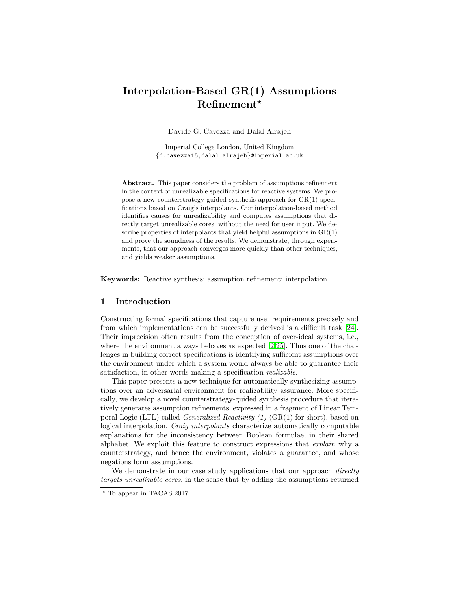# Interpolation-Based GR(1) Assumptions Refinement?

Davide G. Cavezza and Dalal Alrajeh

Imperial College London, United Kingdom {d.cavezza15,dalal.alrajeh}@imperial.ac.uk

Abstract. This paper considers the problem of assumptions refinement in the context of unrealizable specifications for reactive systems. We propose a new counterstrategy-guided synthesis approach for GR(1) specifications based on Craig's interpolants. Our interpolation-based method identifies causes for unrealizability and computes assumptions that directly target unrealizable cores, without the need for user input. We describe properties of interpolants that yield helpful assumptions in  $GR(1)$ and prove the soundness of the results. We demonstrate, through experiments, that our approach converges more quickly than other techniques, and yields weaker assumptions.

Keywords: Reactive synthesis; assumption refinement; interpolation

# 1 Introduction

Constructing formal specifications that capture user requirements precisely and from which implementations can be successfully derived is a difficult task [\[24\]](#page-16-0). Their imprecision often results from the conception of over-ideal systems, i.e., where the environment always behaves as expected [\[2,](#page-15-0)[25\]](#page-16-1). Thus one of the challenges in building correct specifications is identifying sufficient assumptions over the environment under which a system would always be able to guarantee their satisfaction, in other words making a specification realizable.

This paper presents a new technique for automatically synthesizing assumptions over an adversarial environment for realizability assurance. More specifically, we develop a novel counterstrategy-guided synthesis procedure that iteratively generates assumption refinements, expressed in a fragment of Linear Temporal Logic (LTL) called *Generalized Reactivity* (1)  $(GR(1)$  for short), based on logical interpolation. Craig interpolants characterize automatically computable explanations for the inconsistency between Boolean formulae, in their shared alphabet. We exploit this feature to construct expressions that explain why a counterstrategy, and hence the environment, violates a guarantee, and whose negations form assumptions.

We demonstrate in our case study applications that our approach *directly* targets unrealizable cores, in the sense that by adding the assumptions returned

<sup>?</sup> To appear in TACAS 2017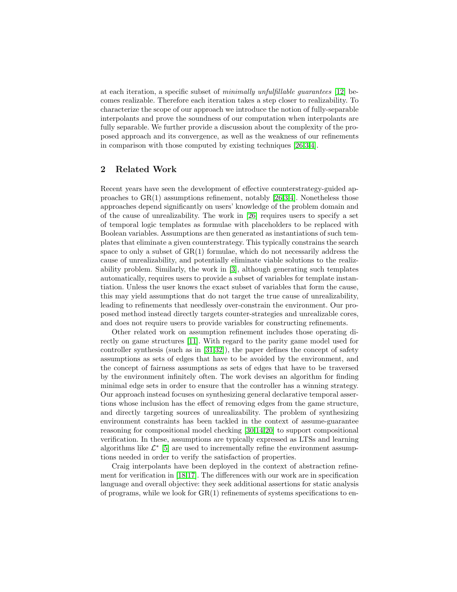at each iteration, a specific subset of minimally unfulfillable guarantees [\[12\]](#page-15-1) becomes realizable. Therefore each iteration takes a step closer to realizability. To characterize the scope of our approach we introduce the notion of fully-separable interpolants and prove the soundness of our computation when interpolants are fully separable. We further provide a discussion about the complexity of the proposed approach and its convergence, as well as the weakness of our refinements in comparison with those computed by existing techniques [\[26,](#page-16-2)[3,](#page-15-2)[4\]](#page-15-3).

# 2 Related Work

Recent years have seen the development of effective counterstrategy-guided approaches to GR(1) assumptions refinement, notably [\[26,](#page-16-2)[3,](#page-15-2)[4\]](#page-15-3). Nonetheless those approaches depend significantly on users' knowledge of the problem domain and of the cause of unrealizability. The work in [\[26\]](#page-16-2) requires users to specify a set of temporal logic templates as formulae with placeholders to be replaced with Boolean variables. Assumptions are then generated as instantiations of such templates that eliminate a given counterstrategy. This typically constrains the search space to only a subset of  $GR(1)$  formulae, which do not necessarily address the cause of unrealizability, and potentially eliminate viable solutions to the realizability problem. Similarly, the work in [\[3\]](#page-15-2), although generating such templates automatically, requires users to provide a subset of variables for template instantiation. Unless the user knows the exact subset of variables that form the cause, this may yield assumptions that do not target the true cause of unrealizability, leading to refinements that needlessly over-constrain the environment. Our proposed method instead directly targets counter-strategies and unrealizable cores, and does not require users to provide variables for constructing refinements.

Other related work on assumption refinement includes those operating directly on game structures [\[11\]](#page-15-4). With regard to the parity game model used for controller synthesis (such as in [\[31,](#page-16-3)[32\]](#page-16-4)), the paper defines the concept of safety assumptions as sets of edges that have to be avoided by the environment, and the concept of fairness assumptions as sets of edges that have to be traversed by the environment infinitely often. The work devises an algorithm for finding minimal edge sets in order to ensure that the controller has a winning strategy. Our approach instead focuses on synthesizing general declarative temporal assertions whose inclusion has the effect of removing edges from the game structure, and directly targeting sources of unrealizability. The problem of synthesizing environment constraints has been tackled in the context of assume-guarantee reasoning for compositional model checking [\[30,](#page-16-5)[14,](#page-15-5)[20\]](#page-16-6) to support compositional verification. In these, assumptions are typically expressed as LTSs and learning algorithms like  $\mathcal{L}^*$  [\[5\]](#page-15-6) are used to incrementally refine the environment assumptions needed in order to verify the satisfaction of properties.

Craig interpolants have been deployed in the context of abstraction refinement for verification in [\[18,](#page-15-7)[17\]](#page-15-8). The differences with our work are in specification language and overall objective: they seek additional assertions for static analysis of programs, while we look for  $GR(1)$  refinements of systems specifications to en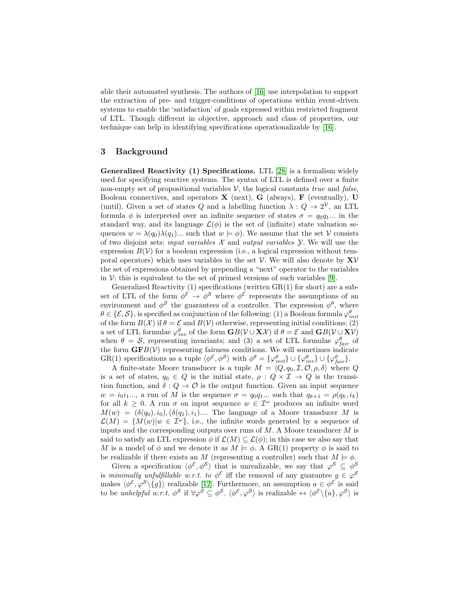able their automated synthesis. The authors of [\[16\]](#page-15-9) use interpolation to support the extraction of pre- and trigger-conditions of operations within event-driven systems to enable the 'satisfaction' of goals expressed within restricted fragment of LTL. Though different in objective, approach and class of properties, our technique can help in identifying specifications operationalizable by [\[16\]](#page-15-9).

# <span id="page-2-0"></span>3 Background

Generalized Reactivity (1) Specifications. LTL [\[28\]](#page-16-7) is a formalism widely used for specifying reactive systems. The syntax of LTL is defined over a finite non-empty set of propositional variables  $V$ , the logical constants true and false, Boolean connectives, and operators  $X$  (next),  $G$  (always),  $F$  (eventually),  $U$ (until). Given a set of states Q and a labelling function  $\lambda: Q \to 2^{\mathcal{V}}$ , an LTL formula  $\phi$  is interpreted over an infinite sequence of states  $\sigma = q_0 q_1 ...$  in the standard way, and its language  $\mathcal{L}(\phi)$  is the set of (infinite) state valuation sequences  $w = \lambda(q_0)\lambda(q_1)$ ... such that  $w \models \phi$ . We assume that the set V consists of two disjoint sets: *input variables*  $X$  and *output variables*  $Y$ . We will use the expression  $B(V)$  for a boolean expression (i.e., a logical expression without temporal operators) which uses variables in the set  $\mathcal{V}$ . We will also denote by  $\mathbf{X}\mathcal{V}$ the set of expressions obtained by prepending a "next" operator to the variables in  $\mathcal V$ : this is equivalent to the set of primed versions of such variables [\[9\]](#page-15-10).

Generalized Reactivity (1) specifications (written GR(1) for short) are a subset of LTL of the form  $\phi^{\mathcal{E}} \to \phi^{\mathcal{S}}$  where  $\phi^{\mathcal{E}}$  represents the assumptions of an environment and  $\phi^{\mathcal{S}}$  the guarantees of a controller. The expression  $\phi^{\theta}$ , where  $\theta \in \{\mathcal{E}, \mathcal{S}\}$ , is specified as conjunction of the following: (1) a Boolean formula  $\varphi_{init}^{\theta}$ of the form  $B(\mathcal{X})$  if  $\theta = \mathcal{E}$  and  $B(\mathcal{V})$  otherwise, representing initial conditions; (2) a set of LTL formulae  $\varphi_{inv}^{\theta}$  of the form  $GB(\mathcal{V}\cup \mathbf{X}\mathcal{X})$  if  $\theta=\mathcal{E}$  and  $GB(\mathcal{V}\cup \mathbf{X}\mathcal{V})$ when  $\theta = S$ , representing invariants; and (3) a set of LTL formulae  $\varphi_{fair}^{\theta}$  of the form  $GFB(V)$  representing fairness conditions. We will sometimes indicate GR(1) specifications as a tuple  $\langle \phi^{\mathcal{E}}, \phi^{\mathcal{S}} \rangle$  with  $\phi^{\theta} = {\phi^{\theta}_{init}} \cup {\phi^{\theta}_{inv}} \cup {\phi^{\theta}_{fair}}.$ 

A finite-state Moore transducer is a tuple  $M = \langle Q, q_0, \mathcal{I}, \mathcal{O}, \rho, \delta \rangle$  where Q is a set of states,  $q_0 \in Q$  is the initial state,  $\rho: Q \times I \to Q$  is the transition function, and  $\delta: Q \to \mathcal{O}$  is the output function. Given an input sequence  $w = i_0i_1...$ , a run of M is the sequence  $\sigma = q_0q_1...$  such that  $q_{k+1} = \rho(q_k, i_k)$ for all  $k \geq 0$ . A run  $\sigma$  on input sequence  $w \in \mathcal{I}^{\omega}$  produces an infinite word  $M(w) = (\delta(q_0), i_0), (\delta(q_1), i_1)$ .... The language of a Moore transducer M is  $\mathcal{L}(M) = \{M(w)|w \in \mathcal{I}^{\omega}\}\$ , i.e., the infinite words generated by a sequence of inputs and the corresponding outputs over runs of  $M$ . A Moore transducer  $M$  is said to satisfy an LTL expression  $\phi$  if  $\mathcal{L}(M) \subseteq \mathcal{L}(\phi)$ ; in this case we also say that M is a model of  $\phi$  and we denote it as  $M \models \phi$ . A GR(1) property  $\phi$  is said to be realizable if there exists an M (representing a controller) such that  $M \models \phi$ .

Given a specification  $\langle \phi^{\mathcal{E}}, \phi^{\mathcal{S}} \rangle$  that is unrealizable, we say that  $\varphi^{\mathcal{S}} \subseteq \phi^{\mathcal{S}}$ is minimally unfulfillable w.r.t. to  $\phi^{\mathcal{E}}$  iff the removal of any guarantee  $g \in \varphi^{\mathcal{S}}$ makes  $\langle \phi^{\mathcal{E}}, \varphi^{\mathcal{S}} \setminus \{g\} \rangle$  realizable [\[12\]](#page-15-1). Furthermore, an assumption  $a \in \phi^{\mathcal{E}}$  is said to be unhelpful w.r.t.  $\phi^{\mathcal{S}}$  if  $\forall \varphi^{\mathcal{S}} \subseteq \phi^{\mathcal{S}}$ .  $\langle \phi^{\mathcal{E}}, \varphi^{\mathcal{S}} \rangle$  is realizable  $\leftrightarrow \langle \phi^{\mathcal{E}} \setminus \{a\}, \varphi^{\mathcal{S}} \rangle$  is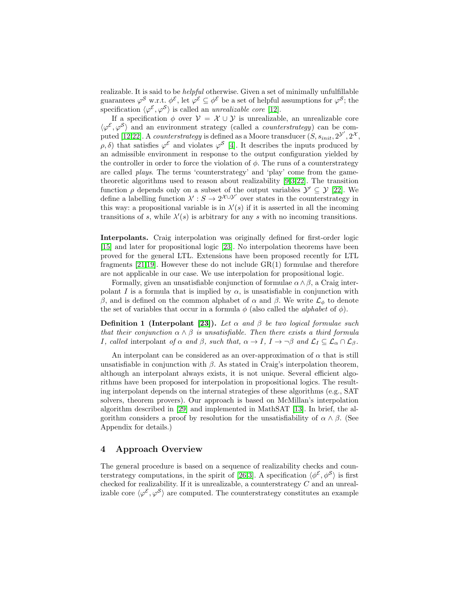realizable. It is said to be helpful otherwise. Given a set of minimally unfulfillable guarantees  $\varphi^{\mathcal{S}}$  w.r.t.  $\phi^{\mathcal{E}}$ , let  $\varphi^{\mathcal{E}} \subseteq \phi^{\mathcal{E}}$  be a set of helpful assumptions for  $\varphi^{\mathcal{S}}$ ; the specification  $\langle \varphi^{\mathcal{E}}, \varphi^{\mathcal{S}} \rangle$  is called an unrealizable core [\[12\]](#page-15-1).

If a specification  $\phi$  over  $\mathcal{V} = \mathcal{X} \cup \mathcal{Y}$  is unrealizable, an unrealizable core  $\langle \varphi^{\mathcal{E}}, \varphi^{\mathcal{S}} \rangle$  and an environment strategy (called a *counterstrategy*) can be com-puted [\[12,](#page-15-1)[22\]](#page-16-8). A counterstrategy is defined as a Moore transducer  $(S, s_{init}, 2^{\mathcal{Y}'}, 2^{\mathcal{X}},$  $(\rho, \delta)$  that satisfies  $\varphi^{\mathcal{E}}$  and violates  $\varphi^{\mathcal{S}}$  [\[4\]](#page-15-3). It describes the inputs produced by an admissible environment in response to the output configuration yielded by the controller in order to force the violation of  $\phi$ . The runs of a counterstrategy are called plays. The terms 'counterstrategy' and 'play' come from the gametheoretic algorithms used to reason about realizability [\[9,](#page-15-10)[3,](#page-15-2)[22\]](#page-16-8). The transition function  $\rho$  depends only on a subset of the output variables  $\mathcal{Y}' \subseteq \mathcal{Y}$  [\[22\]](#page-16-8). We define a labelling function  $\lambda' : S \to 2^{\lambda' \cup \mathcal{Y}'}$  over states in the counterstrategy in this way: a propositional variable is in  $\lambda'(s)$  if it is asserted in all the incoming transitions of s, while  $\lambda'(s)$  is arbitrary for any s with no incoming transitions.

Interpolants. Craig interpolation was originally defined for first-order logic [\[15\]](#page-15-11) and later for propositional logic [\[23\]](#page-16-9). No interpolation theorems have been proved for the general LTL. Extensions have been proposed recently for LTL fragments [\[21,](#page-16-10)[19\]](#page-16-11). However these do not include  $GR(1)$  formulae and therefore are not applicable in our case. We use interpolation for propositional logic.

Formally, given an unsatisfiable conjunction of formulae  $\alpha \wedge \beta$ , a Craig interpolant I is a formula that is implied by  $\alpha$ , is unsatisfiable in conjunction with β, and is defined on the common alphabet of  $\alpha$  and  $\beta$ . We write  $\mathcal{L}_{\phi}$  to denote the set of variables that occur in a formula  $\phi$  (also called the *alphabet* of  $\phi$ ).

**Definition 1 (Interpolant [\[23\]](#page-16-9)).** Let  $\alpha$  and  $\beta$  be two logical formulae such that their conjunction  $\alpha \wedge \beta$  is unsatisfiable. Then there exists a third formula *I*, called interpolant of  $\alpha$  and  $\beta$ , such that,  $\alpha \to I$ ,  $I \to \neg \beta$  and  $\mathcal{L}_I \subseteq \mathcal{L}_\alpha \cap \mathcal{L}_\beta$ .

An interpolant can be considered as an over-approximation of  $\alpha$  that is still unsatisfiable in conjunction with  $\beta$ . As stated in Craig's interpolation theorem, although an interpolant always exists, it is not unique. Several efficient algorithms have been proposed for interpolation in propositional logics. The resulting interpolant depends on the internal strategies of these algorithms (e.g., SAT solvers, theorem provers). Our approach is based on McMillan's interpolation algorithm described in [\[29\]](#page-16-12) and implemented in MathSAT [\[13\]](#page-15-12). In brief, the algorithm considers a proof by resolution for the unsatisfiability of  $\alpha \wedge \beta$ . (See Appendix for details.)

# 4 Approach Overview

The general procedure is based on a sequence of realizability checks and coun-terstrategy computations, in the spirit of [\[26,](#page-16-2)[3\]](#page-15-2). A specification  $\langle \phi^{\mathcal{E}}, \phi^{\mathcal{S}} \rangle$  is first checked for realizability. If it is unrealizable, a counterstrategy C and an unrealizable core  $\langle \varphi^{\mathcal{E}}, \varphi^{\mathcal{S}} \rangle$  are computed. The counterstrategy constitutes an example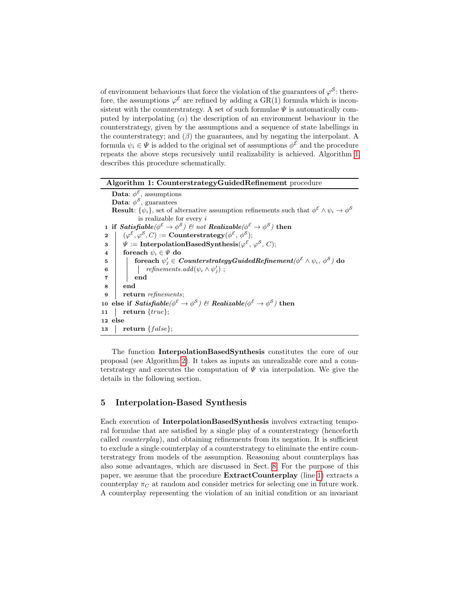of environment behaviours that force the violation of the guarantees of  $\varphi^{\mathcal{S}}$ : therefore, the assumptions  $\varphi^{\mathcal{E}}$  are refined by adding a GR(1) formula which is inconsistent with the counterstrategy. A set of such formulae  $\Psi$  is automatically computed by interpolating  $(\alpha)$  the description of an environment behaviour in the counterstrategy, given by the assumptions and a sequence of state labellings in the counterstrategy; and  $(\beta)$  the guarantees, and by negating the interpolant. A formula  $\psi_i \in \Psi$  is added to the original set of assumptions  $\phi^{\mathcal{E}}$  and the procedure repeats the above steps recursively until realizability is achieved. Algorithm [1](#page-4-0) describes this procedure schematically.

### Algorithm 1: CounterstrategyGuidedRefinement procedure

```
Data: \phi^{\mathcal{E}}, assumptions
         Data: \phi^{\mathcal{S}}, guarantees
         Result: \{\psi_i\}, set of alternative assumption refinements such that \phi^{\mathcal{E}} \wedge \psi_i \to \phi^{\mathcal{S}}is realizable for every i1 if \mathit{Satisfiable}(\phi^\mathcal{E} \to \phi^\mathcal{S}) \; \mathcal{C} not \mathit{Realizable}(\phi^\mathcal{E} \to \phi^\mathcal{S}) then
   2 \mid (\varphi^{\mathcal{E}}, \varphi^{\mathcal{S}}, C) := \textbf{Counterstrategy}(\phi^{\mathcal{E}}, \phi^{\mathcal{S}});\mathbf{y} = \textbf{InterpolationBasedSynthesis}(\varphi^{\mathcal{E}}, \varphi^{\mathcal{S}}, C);4 for each \psi_i \in \Psi do
   \quad \, \mathfrak{so} \quad \quad \mid \quad \textbf{for each} \, \, \psi'_j \in \, \textbf{Counterstrategy}\, \textbf{Guided} \, \textbf{Refinement} (\phi^{\mathcal{E}} \wedge \psi_i, \, \phi^{\mathcal{S}}) \, \textbf{do}\begin{array}{|c|c|c|}\n\hline\n6 & \multicolumn{1}{|c|}{&} & \multicolumn{1}{|c|}{&} & \multicolumn{1}{|c|}{&} \ \hline\n6 & \multicolumn{1}{|c|}{&} & \multicolumn{1}{|c|}{&} & \multicolumn{1}{|c|}{&} \ \hline\n6 & \multicolumn{1}{|c|}{&} & \multicolumn{1}{|c|}{&} & \multicolumn{1}{|c|}{&} & \multicolumn{1}{|c|}{&} \ \hline\n6 & \multicolumn{1}{|c|}{&} & \multicolumn{1}{|c|}{&} & \multicolumn{1}{|c|}{&} &7 \mid end
   8 end
  9 return refinements;
 10 else if Satisfiable(\phi^{\mathcal{E}} \to \phi^{\mathcal{S}}) & Realizable(\phi^{\mathcal{E}} \to \phi^{\mathcal{S}}) then
11 | return \{true\};12 else
13 | return {false};
```
The function InterpolationBasedSynthesis constitutes the core of our proposal (see Algorithm [2\)](#page-5-0). It takes as inputs an unrealizable core and a counterstrategy and executes the computation of  $\Psi$  via interpolation. We give the details in the following section.

# <span id="page-4-1"></span>5 Interpolation-Based Synthesis

Each execution of InterpolationBasedSynthesis involves extracting temporal formulae that are satisfied by a single play of a counterstrategy (henceforth called counterplay), and obtaining refinements from its negation. It is sufficient to exclude a single counterplay of a counterstrategy to eliminate the entire counterstrategy from models of the assumption. Reasoning about counterplays has also some advantages, which are discussed in Sect. [8.](#page-13-0) For the purpose of this paper, we assume that the procedure ExtractCounterplay (line [1\)](#page-5-1) extracts a counterplay  $\pi_C$  at random and consider metrics for selecting one in future work. A counterplay representing the violation of an initial condition or an invariant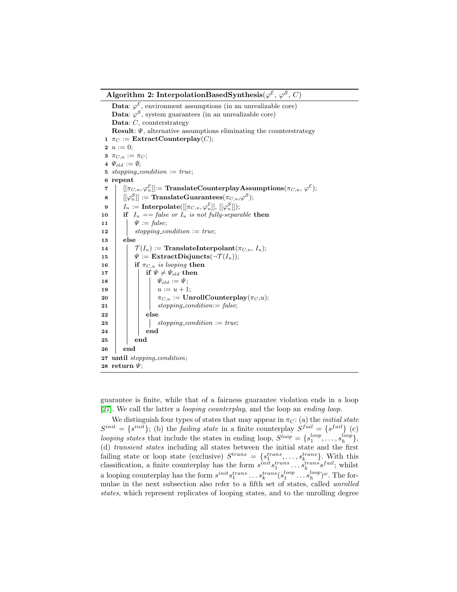# Algorithm 2: InterpolationBasedSynthesis( $\varphi^{\mathcal{E}},\varphi^{\mathcal{S}},C)$

<span id="page-5-7"></span><span id="page-5-6"></span><span id="page-5-5"></span><span id="page-5-4"></span><span id="page-5-3"></span><span id="page-5-2"></span><span id="page-5-1"></span><span id="page-5-0"></span>**Data**:  $\varphi^{\mathcal{E}}$ , environment assumptions (in an unrealizable core) Data:  $\varphi^{\mathcal{S}}$ , system guarantees (in an unrealizable core) Data: C, counterstrategy **Result:**  $\Psi$ , alternative assumptions eliminating the counterstrategy 1  $\pi_C :=$  ExtractCounterplay(C); 2  $u := 0$ ; 3  $\pi_{C,u} := \pi_C;$ 4  $\Psi_{old} := \emptyset;$ 5 stopping\_condition :=  $true$ ; 6 repeat  $\tau \quad [ \ \ [\pi_{C,u}, \varphi^{\mathcal E}_u]]! \!\! = \text{TranslateCounterplayAssumptions}(\pi_{C,u}, \, \varphi^{\mathcal E});$  $\begin{aligned} \mathbf{8} \quad & \left| \quad \left[ [\varphi_u^{\mathcal{S}}] \right] \coloneqq \mathbf{TranslateGuarantees}(\pi_{C,u},\varphi^{\mathcal{S}}); \end{aligned} \right.$  $\quad \ \ \, 9 \quad \ \ \, | \quad I_u := \mathbf{Interpolate}([[\pi_{C,u}, \varphi_u^{\mathcal{E}}]],\, [[\varphi_u^{\mathcal{S}}]]);$ 10 if  $I_u = false$  or  $I_u$  is not fully-separable then 11  $\vert \Psi \rangle := \text{false};$ 12 | stopping\_condition := true; 13 else 14  $\mathcal{T}(I_u) := \text{TranslateInterpolant}(\pi_{C,u}, I_u);$ 15  $\vert \psi \rangle =$  ExtractDisjuncts( $\neg \mathcal{T}(I_u)$ ); 16 **if**  $\pi_{C,u}$  is looping then 17 | | if  $\Psi \neq \Psi_{old}$  then 18  $\vert \vert \vert \vert \psi_{old} := \Psi;$ 19 | | |  $u := u + 1;$ 20  $\Box$   $\pi_{C,u}$  := UnrollCounterplay $(\pi_C, u)$ ;  $21$  | | stopping\_condition:= false;  $22$   $\parallel$   $\parallel$  else 23 | | | stopping\_condition := true;  $24$  | | end  $25$  | end 26 end 27 until stopping condition; 28 return  $\Psi$ ;

<span id="page-5-11"></span><span id="page-5-10"></span><span id="page-5-9"></span><span id="page-5-8"></span>guarantee is finite, while that of a fairness guarantee violation ends in a loop [\[27\]](#page-16-13). We call the latter a looping counterplay, and the loop an ending loop.

We distinguish four types of states that may appear in  $\pi_{\mathcal{C}}$ : (a) the *initial state*  $S^{init} = \{s^{init}\};$  (b) the *failing state* in a finite counterplay  $S^{fail} = \{s^{fail}\}\;$  (c) looping states that include the states in ending loop,  $S^{loop} = \{s_1^{loop}, \ldots, s_h^{loop}\}$ , (d) transient states including all states between the initial state and the first failing state or loop state (exclusive)  $S^{trans} = \{s_1^{trans}, \ldots, s_k^{trans}\}$ . With this classification, a finite counterplay has the form  $s^{init} s_1^{trans} \dots s_k^{trans} s^{fail}$ ; whilst a looping counterplay has the form  $s^{init} s_1^{trans} \dots s_k^{trans} (s_1^{loop} \dots s_h^{loop})^{\omega}$ . The formulae in the next subsection also refer to a fifth set of states, called unrolled states, which represent replicates of looping states, and to the unrolling degree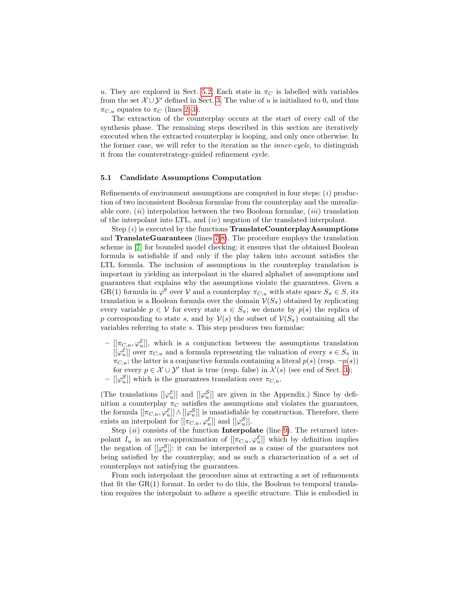u. They are explored in Sect. [5.2.](#page-8-0) Each state in  $\pi_C$  is labelled with variables from the set  $\mathcal{X} \cup \mathcal{Y}'$  defined in Sect. [3.](#page-2-0) The value of u is initialized to 0, and thus  $\pi_{C,u}$  equates to  $\pi_C$  (lines [2](#page-5-2)[–3\)](#page-5-3).

The extraction of the counterplay occurs at the start of every call of the synthesis phase. The remaining steps described in this section are iteratively executed when the extracted counterplay is looping, and only once otherwise. In the former case, we will refer to the iteration as the inner-cycle, to distinguish it from the counterstrategy-guided refinement cycle.

### <span id="page-6-0"></span>5.1 Candidate Assumptions Computation

Refinements of environment assumptions are computed in four steps:  $(i)$  production of two inconsistent Boolean formulae from the counterplay and the unrealizable core,  $(ii)$  interpolation between the two Boolean formulae,  $(iii)$  translation of the interpolant into LTL, and  $(iv)$  negation of the translated interpolant.

Step  $(i)$  is executed by the functions **TranslateCounterplayAssumptions** and TranslateGuarantees (lines [7-](#page-5-4)[8\)](#page-5-5). The procedure employs the translation scheme in [\[7\]](#page-15-13) for bounded model checking: it ensures that the obtained Boolean formula is satisfiable if and only if the play taken into account satisfies the LTL formula. The inclusion of assumptions in the counterplay translation is important in yielding an interpolant in the shared alphabet of assumptions and guarantees that explains why the assumptions violate the guarantees. Given a GR(1) formula in  $\varphi^{\theta}$  over  $V$  and a counterplay  $\pi_{C,u}$  with state space  $S_{\pi} \in S$ , its translation is a Boolean formula over the domain  $\mathcal{V}(S_\pi)$  obtained by replicating every variable  $p \in V$  for every state  $s \in S_{\pi}$ ; we denote by  $p(s)$  the replica of p corresponding to state s, and by  $\mathcal{V}(s)$  the subset of  $\mathcal{V}(S_\pi)$  containing all the variables referring to state s. This step produces two formulae:

 $-[[\pi_{C,u},\varphi^{\mathcal{E}}_u]],$  which is a conjunction between the assumptions translation  $[[\varphi_u^{\mathcal{E}}]]$  over  $\pi_{C,u}$  and a formula representing the valuation of every  $s \in S_{\pi}$  in  $\pi_{C,u}$ ; the latter is a conjunctive formula containing a literal  $p(s)$  (resp.  $\neg p(s)$ ) for every  $p \in \mathcal{X} \cup \mathcal{Y}'$  that is true (resp. false) in  $\lambda'(s)$  (see end of Sect. [3\)](#page-2-0);  $-$  [[ $\varphi_u^{\mathcal{S}}$ ]] which is the guarantees translation over  $\pi_{C,u}$ .

(The translations  $[[\varphi_u^{\mathcal{E}}]]$  and  $[[\varphi_u^{\mathcal{S}}]]$  are given in the Appendix.) Since by definition a counterplay  $\pi_C$  satisfies the assumptions and violates the guarantees, the formula  $[[\pi_{C,u}, \varphi_u^{\mathcal{E}}]] \wedge [[\varphi_u^{\mathcal{S}}]]$  is unsatisfiable by construction. Therefore, there exists an interpolant for  $[[\pi_{C,u}, \varphi_u^{\mathcal{E}}]]$  and  $[[\varphi_u^{\mathcal{S}}]]$ .

Step  $(ii)$  consists of the function Interpolate (line [9\)](#page-5-6). The returned interpolant  $I_u$  is an over-approximation of  $[[\pi_{C,u},\varphi_u^{\mathcal{E}}]]$  which by definition implies the negation of  $[[\varphi_u^S]]$ : it can be interpreted as a cause of the guarantees not being satisfied by the counterplay, and as such a characterization of a set of counterplays not satisfying the guarantees.

From such interpolant the procedure aims at extracting a set of refinements that fit the GR(1) format. In order to do this, the Boolean to temporal translation requires the interpolant to adhere a specific structure. This is embodied in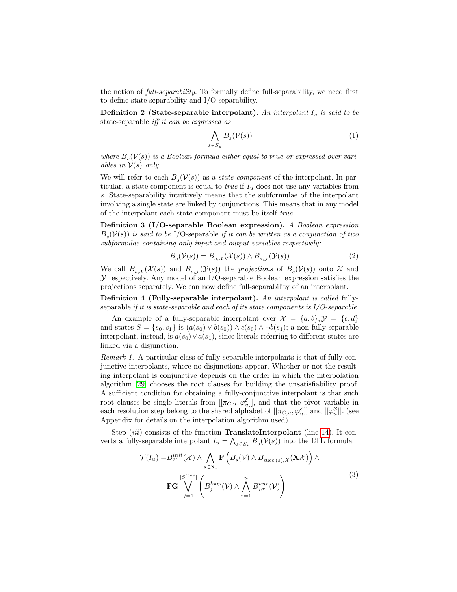the notion of full-separability. To formally define full-separability, we need first to define state-separability and I/O-separability.

**Definition 2** (State-separable interpolant). An interpolant  $I_u$  is said to be state-separable iff it can be expressed as

$$
\bigwedge_{s \in S_u} B_s(\mathcal{V}(s)) \tag{1}
$$

where  $B_s(\mathcal{V}(s))$  is a Boolean formula either equal to true or expressed over variables in  $V(s)$  only.

We will refer to each  $B_s(V(s))$  as a *state component* of the interpolant. In particular, a state component is equal to *true* if  $I_u$  does not use any variables from s. State-separability intuitively means that the subformulae of the interpolant involving a single state are linked by conjunctions. This means that in any model of the interpolant each state component must be itself true.

Definition 3 (I/O-separable Boolean expression). A Boolean expression  $B_s(V(s))$  is said to be I/O-separable if it can be written as a conjunction of two subformulae containing only input and output variables respectively:

$$
B_s(\mathcal{V}(s)) = B_{s,\mathcal{X}}(\mathcal{X}(s)) \wedge B_{s,\mathcal{Y}}(\mathcal{Y}(s))
$$
\n<sup>(2)</sup>

We call  $B_{s,\mathcal{X}}(\mathcal{X}(s))$  and  $B_{s,\mathcal{Y}}(\mathcal{Y}(s))$  the projections of  $B_s(\mathcal{V}(s))$  onto X and  $\mathcal Y$  respectively. Any model of an I/O-separable Boolean expression satisfies the projections separately. We can now define full-separability of an interpolant.

Definition 4 (Fully-separable interpolant). An interpolant is called fullyseparable if it is state-separable and each of its state components is  $I/O$ -separable.

An example of a fully-separable interpolant over  $\mathcal{X} = \{a, b\}, \mathcal{Y} = \{c, d\}$ and states  $S = \{s_0, s_1\}$  is  $(a(s_0) \vee b(s_0)) \wedge c(s_0) \wedge \neg b(s_1)$ ; a non-fully-separable interpolant, instead, is  $a(s_0) \vee a(s_1)$ , since literals referring to different states are linked via a disjunction.

Remark 1. A particular class of fully-separable interpolants is that of fully conjunctive interpolants, where no disjunctions appear. Whether or not the resulting interpolant is conjunctive depends on the order in which the interpolation algorithm [\[29\]](#page-16-12) chooses the root clauses for building the unsatisfiability proof. A sufficient condition for obtaining a fully-conjunctive interpolant is that such root clauses be single literals from  $[[\pi_{C,u}, \varphi_u^{\mathcal{E}}]],$  and that the pivot variable in each resolution step belong to the shared alphabet of  $[[\pi_{C,u}, \varphi_u^{\mathcal{E}}]]$  and  $[[\varphi_u^{\mathcal{S}}]]$ . (see Appendix for details on the interpolation algorithm used).

<span id="page-7-0"></span>Step  $(iii)$  consists of the function **TranslateInterpolant** (line [14\)](#page-5-7). It converts a fully-separable interpolant  $I_u = \bigwedge_{s \in S_u} B_s(\mathcal{V}(s))$  into the LTL formula

$$
\mathcal{T}(I_u) = B_{\mathcal{X}}^{init}(\mathcal{X}) \wedge \bigwedge_{s \in S_u} \mathbf{F}\left(B_s(\mathcal{V}) \wedge B_{\text{succ}(s), \mathcal{X}}(\mathbf{X}\mathcal{X})\right) \wedge
$$
\n
$$
\mathbf{FG} \bigvee_{j=1}^{|S^{loop}|} \left(B_j^{loop}(\mathcal{V}) \wedge \bigwedge_{r=1}^u B_{j,r}^{unr}(\mathcal{V})\right)
$$
\n(3)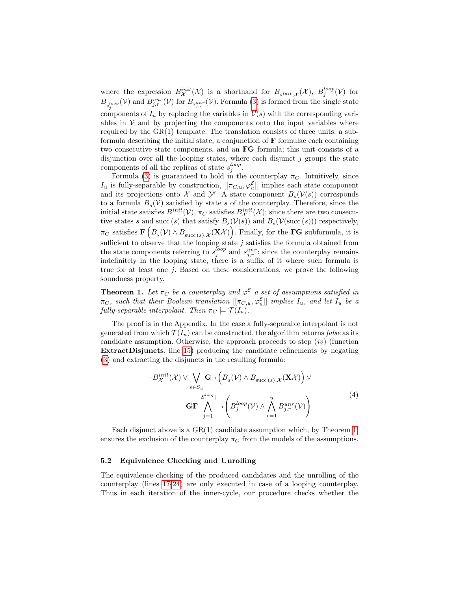where the expression  $B^{init}_{\mathcal{X}}(\mathcal{X})$  is a shorthand for  $B_{s^{init},\mathcal{X}}(\mathcal{X}), B^{loop}_{j}(\mathcal{V})$  for  $B_{s_i^{loop}}(\mathcal{V})$  and  $B_{j,r}^{unr}(\mathcal{V})$  for  $B_{s_{j,r}^{unr}}(\mathcal{V})$ . Formula [\(3\)](#page-7-0) is formed from the single state components of  $I_u$  by replacing the variables in  $\mathcal{V}(s)$  with the corresponding variables in  $V$  and by projecting the components onto the input variables where required by the  $GR(1)$  template. The translation consists of three units: a subformula describing the initial state, a conjunction of  $\bf{F}$  formulae each containing two consecutive state components, and an FG formula; this unit consists of a disjunction over all the looping states, where each disjunct  $j$  groups the state components of all the replicas of state  $s_j^{loop}$ .

Formula [\(3\)](#page-7-0) is guaranteed to hold in the counterplay  $\pi_{C}$ . Intuitively, since  $I_u$  is fully-separable by construction,  $[[\pi_{C,u}, \varphi_u^{\mathcal{E}}]]$  implies each state component and its projections onto  $\mathcal X$  and  $\mathcal Y'$ . A state component  $B_s(\mathcal V(s))$  corresponds to a formula  $B_s(V)$  satisfied by state s of the counterplay. Therefore, since the initial state satisfies  $B_{\mathcal{X}}^{init}(\mathcal{V}), \pi_C$  satisfies  $B_{\mathcal{X}}^{init}(\mathcal{X})$ ; since there are two consecutive states s and succ (s) that satisfy  $B_s(V(s))$  and  $B_s(V(\text{succ}(s)))$  respectively,  $\pi_C$  satisfies  $\mathbf{F}\left(B_s(\mathcal{V}) \wedge B_{\text{succ}(s),\mathcal{X}}(\mathbf{X}\mathcal{X})\right)$ . Finally, for the **FG** subformula, it is sufficient to observe that the looping state  $j$  satisfies the formula obtained from the state components referring to  $s_j^{loop}$  and  $s_{j,r}^{unr}$ : since the counterplay remains indefinitely in the looping state, there is a suffix of it where such formula is true for at least one  $j$ . Based on these considerations, we prove the following soundness property.

<span id="page-8-1"></span>**Theorem 1.** Let  $\pi_C$  be a counterplay and  $\varphi^{\mathcal{E}}$  a set of assumptions satisfied in  $\pi_C$ , such that their Boolean translation  $[[\pi_{C,u},\varphi_u^{\mathcal{E}}]]$  implies  $I_u$ , and let  $I_u$  be a fully-separable interpolant. Then  $\pi_C \models \mathcal{T}(I_u)$ .

The proof is in the Appendix. In the case a fully-separable interpolant is not generated from which  $\mathcal{T}(I_u)$  can be constructed, the algorithm returns false as its candidate assumption. Otherwise, the approach proceeds to step  $(iv)$  (function ExtractDisjuncts, line [15\)](#page-5-8) producing the candidate refinements by negating [\(3\)](#page-7-0) and extracting the disjuncts in the resulting formula:

$$
\neg B_{\mathcal{X}}^{init}(\mathcal{X}) \vee \bigvee_{s \in S_u} \mathbf{G} \neg \left( B_s(\mathcal{V}) \wedge B_{succ(s), \mathcal{X}}(\mathbf{X} \mathcal{X}) \right) \vee
$$
\n
$$
\mathbf{G} \mathbf{F} \bigwedge_{j=1}^{|S^{loop}|} \neg \left( B_j^{loop}(\mathcal{V}) \wedge \bigwedge_{r=1}^u B_{j,r}^{unr}(\mathcal{V}) \right)
$$
\n
$$
(4)
$$

<span id="page-8-2"></span>Each disjunct above is a  $GR(1)$  candidate assumption which, by Theorem [1,](#page-8-1) ensures the exclusion of the counterplay  $\pi_C$  from the models of the assumptions.

### <span id="page-8-0"></span>5.2 Equivalence Checking and Unrolling

The equivalence checking of the produced candidates and the unrolling of the counterplay (lines [17](#page-5-9)[-24\)](#page-5-10) are only executed in case of a looping counterplay. Thus in each iteration of the inner-cycle, our procedure checks whether the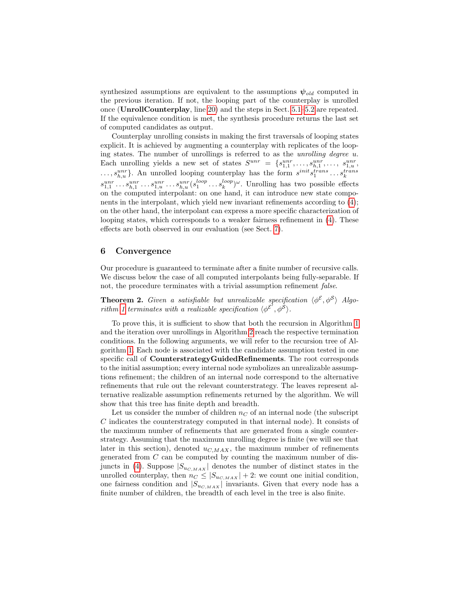synthesized assumptions are equivalent to the assumptions  $\psi_{old}$  computed in the previous iteration. If not, the looping part of the counterplay is unrolled once (UnrollCounterplay, line [20\)](#page-5-11) and the steps in Sect. [5.1–](#page-6-0)[5.2](#page-8-0) are repeated. If the equivalence condition is met, the synthesis procedure returns the last set of computed candidates as output.

Counterplay unrolling consists in making the first traversals of looping states explicit. It is achieved by augmenting a counterplay with replicates of the looping states. The number of unrollings is referred to as the unrolling degree u. Each unrolling yields a new set of states  $S^{unr} = \{s_{1,1}^{unr}, \ldots, s_{h,1}^{unr}, \ldots, s_{1,u}^{unr}\}$ ...,  $s_{h,u}^{unr}$ . An unrolled looping counterplay has the form  $s^{init} s_1^{trans} \dots s_k^{trans}$  $s_{1,1}^{unr} \dots s_{h,1}^{unr} \dots s_{h,u}^{unr} (s_1^{loop} \dots s_k^{loop})^{\omega}$ . Unrolling has two possible effects on the computed interpolant: on one hand, it can introduce new state components in the interpolant, which yield new invariant refinements according to [\(4\)](#page-8-2); on the other hand, the interpolant can express a more specific characterization of looping states, which corresponds to a weaker fairness refinement in [\(4\)](#page-8-2). These effects are both observed in our evaluation (see Sect. [7\)](#page-10-0).

# <span id="page-9-0"></span>6 Convergence

Our procedure is guaranteed to terminate after a finite number of recursive calls. We discuss below the case of all computed interpolants being fully-separable. If not, the procedure terminates with a trivial assumption refinement *false*.

**Theorem 2.** Given a satisfiable but unrealizable specification  $\langle \phi^{\mathcal{E}}, \phi^{\mathcal{S}} \rangle$  Algo-rithm [1](#page-4-0) terminates with a realizable specification  $\langle \phi^{\mathcal{E}^{\prime}}, \phi^{\mathcal{S}} \rangle$ .

To prove this, it is sufficient to show that both the recursion in Algorithm [1](#page-4-0) and the iteration over unrollings in Algorithm [2](#page-5-0) reach the respective termination conditions. In the following arguments, we will refer to the recursion tree of Algorithm [1.](#page-4-0) Each node is associated with the candidate assumption tested in one specific call of **CounterstrategyGuidedRefinements**. The root corresponds to the initial assumption; every internal node symbolizes an unrealizable assumptions refinement; the children of an internal node correspond to the alternative refinements that rule out the relevant counterstrategy. The leaves represent alternative realizable assumption refinements returned by the algorithm. We will show that this tree has finite depth and breadth.

Let us consider the number of children  $n<sub>C</sub>$  of an internal node (the subscript C indicates the counterstrategy computed in that internal node). It consists of the maximum number of refinements that are generated from a single counterstrategy. Assuming that the maximum unrolling degree is finite (we will see that later in this section), denoted  $u_{C,MAX}$ , the maximum number of refinements generated from C can be computed by counting the maximum number of dis-juncts in [\(4\)](#page-8-2). Suppose  $|S_{u_{C,MAX}}|$  denotes the number of distinct states in the unrolled counterplay, then  $n_C \leq |S_{u_{C,MAX}}| + 2$ : we count one initial condition, one fairness condition and  $|S_{u_{C,MAX}}|$  invariants. Given that every node has a finite number of children, the breadth of each level in the tree is also finite.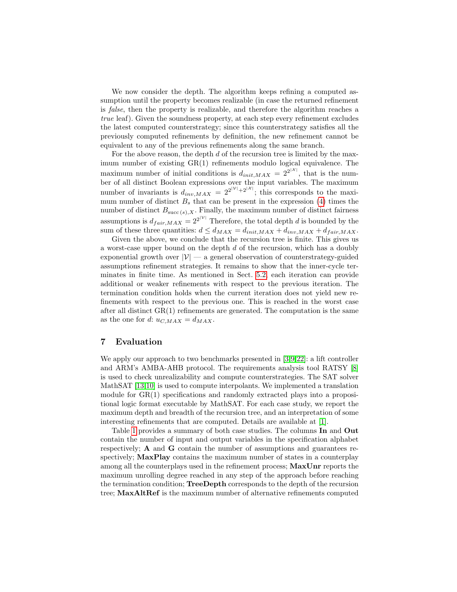We now consider the depth. The algorithm keeps refining a computed assumption until the property becomes realizable (in case the returned refinement is false, then the property is realizable, and therefore the algorithm reaches a true leaf). Given the soundness property, at each step every refinement excludes the latest computed counterstrategy; since this counterstrategy satisfies all the previously computed refinements by definition, the new refinement cannot be equivalent to any of the previous refinements along the same branch.

For the above reason, the depth  $d$  of the recursion tree is limited by the maximum number of existing GR(1) refinements modulo logical equivalence. The maximum number of initial conditions is  $d_{init, MAX} = 2^{2^{|\mathcal{X}|}}$ , that is the number of all distinct Boolean expressions over the input variables. The maximum number of invariants is  $d_{inv,MAX} = 2^{2^{|\mathcal{V}|}+2^{|\mathcal{X}|}}$ ; this corresponds to the maximum number of distinct  $B_s$  that can be present in the expression [\(4\)](#page-8-2) times the number of distinct  $B_{succ(s),X}$ . Finally, the maximum number of distinct fairness assumptions is  $d_{fair, MAX} = 2^{2^{|\mathcal{V}|}}$  Therefore, the total depth d is bounded by the sum of these three quantities:  $d \le d_{MAX} = d_{init, MAX} + d_{inv, MAX} + d_{fair, MAX}$ .

Given the above, we conclude that the recursion tree is finite. This gives us a worst-case upper bound on the depth d of the recursion, which has a doubly exponential growth over  $|\mathcal{V}|$  — a general observation of counterstrategy-guided assumptions refinement strategies. It remains to show that the inner-cycle terminates in finite time. As mentioned in Sect. [5.2,](#page-8-0) each iteration can provide additional or weaker refinements with respect to the previous iteration. The termination condition holds when the current iteration does not yield new refinements with respect to the previous one. This is reached in the worst case after all distinct  $GR(1)$  refinements are generated. The computation is the same as the one for d:  $u_{C,MAX} = d_{MAX}$ .

### <span id="page-10-0"></span>7 Evaluation

We apply our approach to two benchmarks presented in [\[3,](#page-15-2)[9,](#page-15-10)[22\]](#page-16-8): a lift controller and ARM's AMBA-AHB protocol. The requirements analysis tool RATSY [\[8\]](#page-15-14) is used to check unrealizability and compute counterstrategies. The SAT solver MathSAT [\[13,](#page-15-12)[10\]](#page-15-15) is used to compute interpolants. We implemented a translation module for  $GR(1)$  specifications and randomly extracted plays into a propositional logic format executable by MathSAT. For each case study, we report the maximum depth and breadth of the recursion tree, and an interpretation of some interesting refinements that are computed. Details are available at [\[1\]](#page-15-16).

Table [1](#page-11-0) provides a summary of both case studies. The columns In and Out contain the number of input and output variables in the specification alphabet respectively; A and G contain the number of assumptions and guarantees respectively; MaxPlay contains the maximum number of states in a counterplay among all the counterplays used in the refinement process; MaxUnr reports the maximum unrolling degree reached in any step of the approach before reaching the termination condition; TreeDepth corresponds to the depth of the recursion tree; MaxAltRef is the maximum number of alternative refinements computed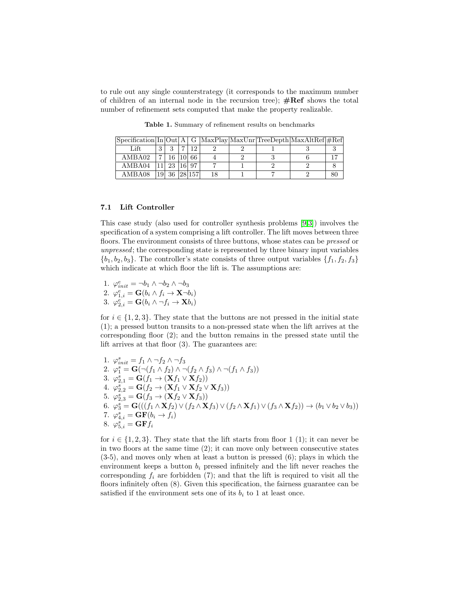to rule out any single counterstrategy (it corresponds to the maximum number of children of an internal node in the recursion tree);  $\#\text{Ref}$  shows the total number of refinement sets computed that make the property realizable.

Specification In Out A G MaxPlay MaxUnr TreeDepth MaxAltRef #Ref Lift  $|3|3|7|12|2|2|2|11|3|33$ AMBA02 7 16 10 66 4 2 3 6 17 AMBA04 |11 | 23 | 16 | 97 | 7 | 1 | 2 | 2 | 8 AMBA08 | 19 | 36 | 28 | 157 | 18 | 1 | 1 | 1 | 1 | 2 | 80

<span id="page-11-0"></span>Table 1. Summary of refinement results on benchmarks

#### 7.1 Lift Controller

This case study (also used for controller synthesis problems [\[9](#page-15-10)[,3\]](#page-15-2)) involves the specification of a system comprising a lift controller. The lift moves between three floors. The environment consists of three buttons, whose states can be *pressed* or unpressed; the corresponding state is represented by three binary input variables  ${b_1, b_2, b_3}$ . The controller's state consists of three output variables  ${f_1, f_2, f_3}$ which indicate at which floor the lift is. The assumptions are:

1.  $\varphi_{init}^e = \neg b_1 \wedge \neg b_2 \wedge \neg b_3$ 

2.  $\varphi_{1,i}^e = \mathbf{G}(b_i \wedge f_i \to \mathbf{X} \neg b_i)$ 

3.  $\varphi_{2,i}^{e^{\prime}} = \mathbf{G}(b_i \wedge \neg f_i \rightarrow \mathbf{X}b_i)$ 

for  $i \in \{1, 2, 3\}$ . They state that the buttons are not pressed in the initial state (1); a pressed button transits to a non-pressed state when the lift arrives at the corresponding floor (2); and the button remains in the pressed state until the lift arrives at that floor (3). The guarantees are:

1.  $\varphi_{init}^s = f_1 \wedge \neg f_2 \wedge \neg f_3$ 2.  $\varphi_1^s = \mathbf{G}(\neg(f_1 \land f_2) \land \neg(f_2 \land f_3) \land \neg(f_1 \land f_3))$ 3.  $\varphi_{2,1}^s = \mathbf{G}(f_1 \to (\mathbf{X} f_1 \vee \mathbf{X} f_2))$ 4.  $\varphi_{2,2}^s = \mathbf{G}(f_2 \to (\mathbf{X} f_1 \vee \mathbf{X} f_2 \vee \mathbf{X} f_3))$ 5.  $\varphi_{2,3}^{s} = G(f_3 \to (\mathbf{X} f_2 \vee \mathbf{X} f_3))$ 6.  $\varphi_3^s = \mathbf{G}(((f_1 \wedge \mathbf{X} f_2) \vee (f_2 \wedge \mathbf{X} f_3) \vee (f_2 \wedge \mathbf{X} f_1) \vee (f_3 \wedge \mathbf{X} f_2)) \rightarrow (b_1 \vee b_2 \vee b_3))$ 7.  $\varphi_{4,i}^s = \mathbf{GF}(b_i \to f_i)$ 8.  $\varphi_{5,i}^s = \mathbf{G}\mathbf{F}f_i$ 

for  $i \in \{1,2,3\}$ . They state that the lift starts from floor 1 (1); it can never be in two floors at the same time (2); it can move only between consecutive states (3-5), and moves only when at least a button is pressed (6); plays in which the environment keeps a button  $b_i$  pressed infinitely and the lift never reaches the corresponding  $f_i$  are forbidden (7); and that the lift is required to visit all the floors infinitely often (8). Given this specification, the fairness guarantee can be satisfied if the environment sets one of its  $b_i$  to 1 at least once.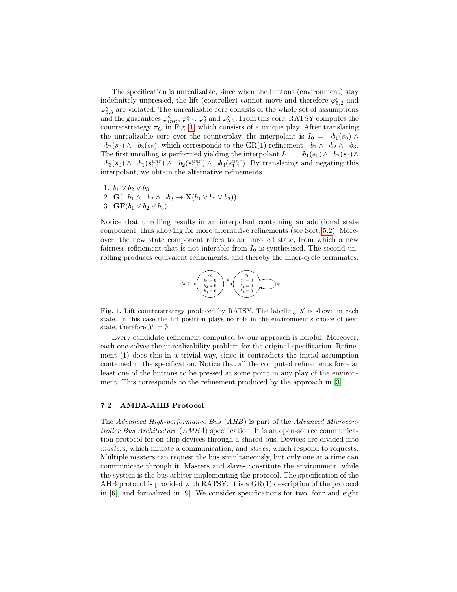The specification is unrealizable, since when the buttons (environment) stay indefinitely unpressed, the lift (controller) cannot move and therefore  $\varphi_{5,2}^s$  and  $\varphi_{5,3}^s$  are violated. The unrealizable core consists of the whole set of assumptions and the guarantees  $\varphi_{init}^s$ ,  $\varphi_{2,1}^s$ ,  $\varphi_3^s$  and  $\varphi_{5,2}^s$ . From this core, RATSY computes the counterstrategy  $\pi_C$  in Fig. [1,](#page-12-0) which consists of a unique play. After translating the unrealizable core over the counterplay, the interpolant is  $I_0 = \neg b_1(s_0) \wedge$  $\neg b_2(s_0) \wedge \neg b_3(s_0)$ , which corresponds to the GR(1) refinement  $\neg b_1 \wedge \neg b_2 \wedge \neg b_3$ . The first unrolling is performed yielding the interpolant  $I_1 = \neg b_1(s_0) \wedge \neg b_2(s_0) \wedge \neg b_1(s_1)$  $\neg b_3(s_0) \wedge \neg b_1(s_{1,1}^{unr}) \wedge \neg b_2(s_{1,1}^{unr}) \wedge \neg b_3(s_{1,1}^{unr})$ . By translating and negating this interpolant, we obtain the alternative refinements

1.  $b_1 \vee b_2 \vee b_3$ 2.  $\mathbf{G}(\neg b_1 \wedge \neg b_2 \wedge \neg b_3 \rightarrow \mathbf{X}(b_1 \vee b_2 \vee b_3))$ 3.  $GF(b_1 \vee b_2 \vee b_3)$ 

Notice that unrolling results in an interpolant containing an additional state component, thus allowing for more alternative refinements (see Sect. [5.2\)](#page-8-0). Moreover, the new state component refers to an unrolled state, from which a new fairness refinement that is not inferable from  $I_0$  is synthesized. The second unrolling produces equivalent refinements, and thereby the inner-cycle terminates.



<span id="page-12-0"></span>Fig. 1. Lift counterstrategy produced by RATSY. The labelling  $\lambda'$  is shown in each state. In this case the lift position plays no role in the environment's choice of next state, therefore  $\mathcal{Y}' = \emptyset$ .

Every candidate refinement computed by our approach is helpful. Moreover, each one solves the unrealizability problem for the original specification. Refinement (1) does this in a trivial way, since it contradicts the initial assumption contained in the specification. Notice that all the computed refinements force at least one of the buttons to be pressed at some point in any play of the environment. This corresponds to the refinement produced by the approach in [\[3\]](#page-15-2).

### 7.2 AMBA-AHB Protocol

The Advanced High-performance Bus (AHB) is part of the Advanced Microcontroller Bus Architecture (AMBA) specification. It is an open-source communication protocol for on-chip devices through a shared bus. Devices are divided into masters, which initiate a communication, and slaves, which respond to requests. Multiple masters can request the bus simultaneously, but only one at a time can communicate through it. Masters and slaves constitute the environment, while the system is the bus arbiter implementing the protocol. The specification of the AHB protocol is provided with RATSY. It is a GR(1) description of the protocol in [\[6\]](#page-15-17), and formalized in [\[9\]](#page-15-10). We consider specifications for two, four and eight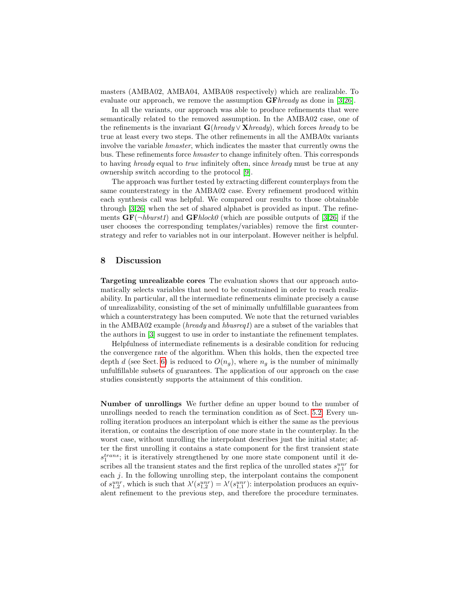masters (AMBA02, AMBA04, AMBA08 respectively) which are realizable. To evaluate our approach, we remove the assumption  $GF$ *hready* as done in [\[3,](#page-15-2)[26\]](#page-16-2).

In all the variants, our approach was able to produce refinements that were semantically related to the removed assumption. In the AMBA02 case, one of the refinements is the invariant  $\mathbf{G}( \text{}heady \vee \mathbf{X} \text{}heady)$ , which forces hready to be true at least every two steps. The other refinements in all the AMBA0x variants involve the variable hmaster, which indicates the master that currently owns the bus. These refinements force hmaster to change infinitely often. This corresponds to having *hready* equal to *true* infinitely often, since *hready* must be true at any ownership switch according to the protocol [\[9\]](#page-15-10).

The approach was further tested by extracting different counterplays from the same counterstrategy in the AMBA02 case. Every refinement produced within each synthesis call was helpful. We compared our results to those obtainable through [\[3,](#page-15-2)[26\]](#page-16-2) when the set of shared alphabet is provided as input. The refinements  $GF(\neg \text{hburst1})$  and  $GF \text{hlock0}$  (which are possible outputs of [\[3](#page-15-2)[,26\]](#page-16-2) if the user chooses the corresponding templates/variables) remove the first counterstrategy and refer to variables not in our interpolant. However neither is helpful.

# <span id="page-13-0"></span>8 Discussion

Targeting unrealizable cores The evaluation shows that our approach automatically selects variables that need to be constrained in order to reach realizability. In particular, all the intermediate refinements eliminate precisely a cause of unrealizability, consisting of the set of minimally unfulfillable guarantees from which a counterstrategy has been computed. We note that the returned variables in the AMBA02 example (hready and hbusreq1) are a subset of the variables that the authors in [\[3\]](#page-15-2) suggest to use in order to instantiate the refinement templates.

Helpfulness of intermediate refinements is a desirable condition for reducing the convergence rate of the algorithm. When this holds, then the expected tree depth d (see Sect. [6\)](#page-9-0) is reduced to  $O(n_q)$ , where  $n_q$  is the number of minimally unfulfillable subsets of guarantees. The application of our approach on the case studies consistently supports the attainment of this condition.

Number of unrollings We further define an upper bound to the number of unrollings needed to reach the termination condition as of Sect. [5.2.](#page-8-0) Every unrolling iteration produces an interpolant which is either the same as the previous iteration, or contains the description of one more state in the counterplay. In the worst case, without unrolling the interpolant describes just the initial state; after the first unrolling it contains a state component for the first transient state  $s_1^{trans}$ ; it is iteratively strengthened by one more state component until it describes all the transient states and the first replica of the unrolled states  $s_{j,1}^{unr}$  for each  $j$ . In the following unrolling step, the interpolant contains the component of  $s_{1,2}^{unr}$ , which is such that  $\lambda'(s_{1,2}^{unr}) = \lambda'(s_{1,1}^{unr})$ : interpolation produces an equivalent refinement to the previous step, and therefore the procedure terminates.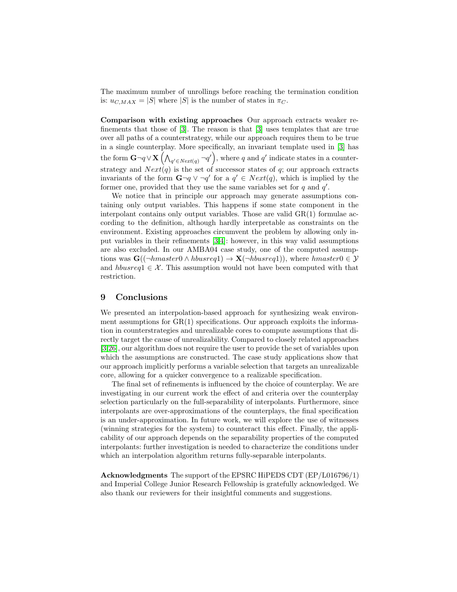The maximum number of unrollings before reaching the termination condition is:  $u_{C,MAX} = |S|$  where  $|S|$  is the number of states in  $\pi_C$ .

Comparison with existing approaches Our approach extracts weaker refinements that those of [\[3\]](#page-15-2). The reason is that [\[3\]](#page-15-2) uses templates that are true over all paths of a counterstrategy, while our approach requires them to be true in a single counterplay. More specifically, an invariant template used in [\[3\]](#page-15-2) has the form  $\mathbf{G}\neg q\vee\mathbf{X}\left(\bigwedge_{q'\in Next(q)}\neg q'\right)$ , where q and q' indicate states in a counterstrategy and  $Next(q)$  is the set of successor states of q; our approach extracts invariants of the form  $\mathbf{G} \neg q \lor \neg q'$  for a  $q' \in Next(q)$ , which is implied by the former one, provided that they use the same variables set for  $q$  and  $q'$ .

We notice that in principle our approach may generate assumptions containing only output variables. This happens if some state component in the interpolant contains only output variables. Those are valid  $GR(1)$  formulae according to the definition, although hardly interpretable as constraints on the environment. Existing approaches circumvent the problem by allowing only input variables in their refinements [\[3,](#page-15-2)[4\]](#page-15-3): however, in this way valid assumptions are also excluded. In our AMBA04 case study, one of the computed assumptions was  $\mathbf{G}((\neg \text{hmaster0} \land \text{hbusreq1}) \rightarrow \mathbf{X}(\neg \text{hbusreq1})),$  where  $\text{hmaster0} \in \mathcal{Y}$ and hbusreq  $1 \in \mathcal{X}$ . This assumption would not have been computed with that restriction.

### 9 Conclusions

We presented an interpolation-based approach for synthesizing weak environment assumptions for  $GR(1)$  specifications. Our approach exploits the information in counterstrategies and unrealizable cores to compute assumptions that directly target the cause of unrealizability. Compared to closely related approaches [\[3,](#page-15-2)[26\]](#page-16-2), our algorithm does not require the user to provide the set of variables upon which the assumptions are constructed. The case study applications show that our approach implicitly performs a variable selection that targets an unrealizable core, allowing for a quicker convergence to a realizable specification.

The final set of refinements is influenced by the choice of counterplay. We are investigating in our current work the effect of and criteria over the counterplay selection particularly on the full-separability of interpolants. Furthermore, since interpolants are over-approximations of the counterplays, the final specification is an under-approximation. In future work, we will explore the use of witnesses (winning strategies for the system) to counteract this effect. Finally, the applicability of our approach depends on the separability properties of the computed interpolants: further investigation is needed to characterize the conditions under which an interpolation algorithm returns fully-separable interpolants.

Acknowledgments The support of the EPSRC HiPEDS CDT (EP/L016796/1) and Imperial College Junior Research Fellowship is gratefully acknowledged. We also thank our reviewers for their insightful comments and suggestions.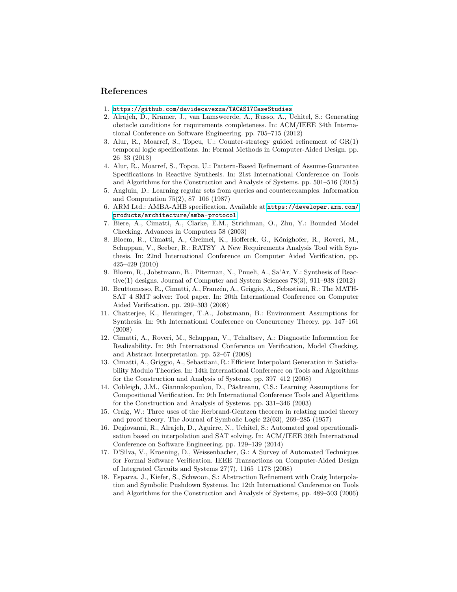### References

- <span id="page-15-16"></span>1. <https://github.com/davidecavezza/TACAS17CaseStudies>
- <span id="page-15-0"></span>2. Alrajeh, D., Kramer, J., van Lamsweerde, A., Russo, A., Uchitel, S.: Generating obstacle conditions for requirements completeness. In: ACM/IEEE 34th International Conference on Software Engineering. pp. 705–715 (2012)
- <span id="page-15-2"></span>3. Alur, R., Moarref, S., Topcu, U.: Counter-strategy guided refinement of GR(1) temporal logic specifications. In: Formal Methods in Computer-Aided Design. pp. 26–33 (2013)
- <span id="page-15-3"></span>4. Alur, R., Moarref, S., Topcu, U.: Pattern-Based Refinement of Assume-Guarantee Specifications in Reactive Synthesis. In: 21st International Conference on Tools and Algorithms for the Construction and Analysis of Systems. pp. 501–516 (2015)
- <span id="page-15-6"></span>5. Angluin, D.: Learning regular sets from queries and counterexamples. Information and Computation 75(2), 87–106 (1987)
- <span id="page-15-17"></span>6. ARM Ltd.: AMBA-AHB specification. Available at [https://developer.arm.com/](https://developer.arm.com/products/architecture/amba-protocol) [products/architecture/amba-protocol](https://developer.arm.com/products/architecture/amba-protocol)
- <span id="page-15-13"></span>7. Biere, A., Cimatti, A., Clarke, E.M., Strichman, O., Zhu, Y.: Bounded Model Checking. Advances in Computers 58 (2003)
- <span id="page-15-14"></span>8. Bloem, R., Cimatti, A., Greimel, K., Hofferek, G., Könighofer, R., Roveri, M., Schuppan, V., Seeber, R.: RATSY A New Requirements Analysis Tool with Synthesis. In: 22nd International Conference on Computer Aided Verification, pp. 425–429 (2010)
- <span id="page-15-10"></span>9. Bloem, R., Jobstmann, B., Piterman, N., Pnueli, A., Sa'Ar, Y.: Synthesis of Reactive(1) designs. Journal of Computer and System Sciences 78(3), 911–938 (2012)
- <span id="page-15-15"></span>10. Bruttomesso, R., Cimatti, A., Franzén, A., Griggio, A., Sebastiani, R.: The MATH-SAT 4 SMT solver: Tool paper. In: 20th International Conference on Computer Aided Verification. pp. 299–303 (2008)
- <span id="page-15-4"></span>11. Chatterjee, K., Henzinger, T.A., Jobstmann, B.: Environment Assumptions for Synthesis. In: 9th International Conference on Concurrency Theory. pp. 147–161 (2008)
- <span id="page-15-1"></span>12. Cimatti, A., Roveri, M., Schuppan, V., Tchaltsev, A.: Diagnostic Information for Realizability. In: 9th International Conference on Verification, Model Checking, and Abstract Interpretation. pp. 52–67 (2008)
- <span id="page-15-12"></span>13. Cimatti, A., Griggio, A., Sebastiani, R.: Efficient Interpolant Generation in Satisfiability Modulo Theories. In: 14th International Conference on Tools and Algorithms for the Construction and Analysis of Systems. pp. 397–412 (2008)
- <span id="page-15-5"></span>14. Cobleigh, J.M., Giannakopoulou, D., Păsăreanu, C.S.: Learning Assumptions for Compositional Verification. In: 9th International Conference Tools and Algorithms for the Construction and Analysis of Systems. pp. 331–346 (2003)
- <span id="page-15-11"></span>15. Craig, W.: Three uses of the Herbrand-Gentzen theorem in relating model theory and proof theory. The Journal of Symbolic Logic 22(03), 269–285 (1957)
- <span id="page-15-9"></span>16. Degiovanni, R., Alrajeh, D., Aguirre, N., Uchitel, S.: Automated goal operationalisation based on interpolation and SAT solving. In: ACM/IEEE 36th International Conference on Software Engineering. pp. 129–139 (2014)
- <span id="page-15-8"></span>17. D'Silva, V., Kroening, D., Weissenbacher, G.: A Survey of Automated Techniques for Formal Software Verification. IEEE Transactions on Computer-Aided Design of Integrated Circuits and Systems 27(7), 1165–1178 (2008)
- <span id="page-15-7"></span>18. Esparza, J., Kiefer, S., Schwoon, S.: Abstraction Refinement with Craig Interpolation and Symbolic Pushdown Systems. In: 12th International Conference on Tools and Algorithms for the Construction and Analysis of Systems, pp. 489–503 (2006)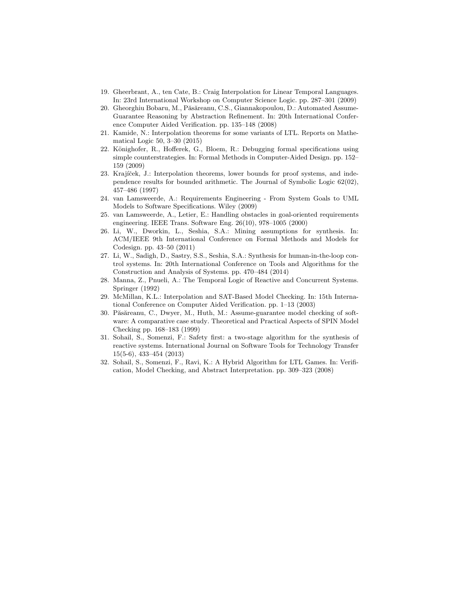- <span id="page-16-11"></span>19. Gheerbrant, A., ten Cate, B.: Craig Interpolation for Linear Temporal Languages. In: 23rd International Workshop on Computer Science Logic. pp. 287–301 (2009)
- <span id="page-16-6"></span>20. Gheorghiu Bobaru, M., Păsăreanu, C.S., Giannakopoulou, D.: Automated Assume-Guarantee Reasoning by Abstraction Refinement. In: 20th International Conference Computer Aided Verification. pp. 135–148 (2008)
- <span id="page-16-10"></span>21. Kamide, N.: Interpolation theorems for some variants of LTL. Reports on Mathematical Logic 50, 3–30 (2015)
- <span id="page-16-8"></span>22. Könighofer, R., Hofferek, G., Bloem, R.: Debugging formal specifications using simple counterstrategies. In: Formal Methods in Computer-Aided Design. pp. 152– 159 (2009)
- <span id="page-16-9"></span>23. Krajíček, J.: Interpolation theorems, lower bounds for proof systems, and independence results for bounded arithmetic. The Journal of Symbolic Logic 62(02), 457–486 (1997)
- <span id="page-16-0"></span>24. van Lamsweerde, A.: Requirements Engineering - From System Goals to UML Models to Software Specifications. Wiley (2009)
- <span id="page-16-1"></span>25. van Lamsweerde, A., Letier, E.: Handling obstacles in goal-oriented requirements engineering. IEEE Trans. Software Eng. 26(10), 978–1005 (2000)
- <span id="page-16-2"></span>26. Li, W., Dworkin, L., Seshia, S.A.: Mining assumptions for synthesis. In: ACM/IEEE 9th International Conference on Formal Methods and Models for Codesign. pp. 43–50 (2011)
- <span id="page-16-13"></span>27. Li, W., Sadigh, D., Sastry, S.S., Seshia, S.A.: Synthesis for human-in-the-loop control systems. In: 20th International Conference on Tools and Algorithms for the Construction and Analysis of Systems. pp. 470–484 (2014)
- <span id="page-16-7"></span>28. Manna, Z., Pnueli, A.: The Temporal Logic of Reactive and Concurrent Systems. Springer (1992)
- <span id="page-16-12"></span>29. McMillan, K.L.: Interpolation and SAT-Based Model Checking. In: 15th International Conference on Computer Aided Verification. pp. 1–13 (2003)
- <span id="page-16-5"></span>30. Păsăreanu, C., Dwyer, M., Huth, M.: Assume-guarantee model checking of software: A comparative case study. Theoretical and Practical Aspects of SPIN Model Checking pp. 168–183 (1999)
- <span id="page-16-3"></span>31. Sohail, S., Somenzi, F.: Safety first: a two-stage algorithm for the synthesis of reactive systems. International Journal on Software Tools for Technology Transfer 15(5-6), 433–454 (2013)
- <span id="page-16-4"></span>32. Sohail, S., Somenzi, F., Ravi, K.: A Hybrid Algorithm for LTL Games. In: Verification, Model Checking, and Abstract Interpretation. pp. 309–323 (2008)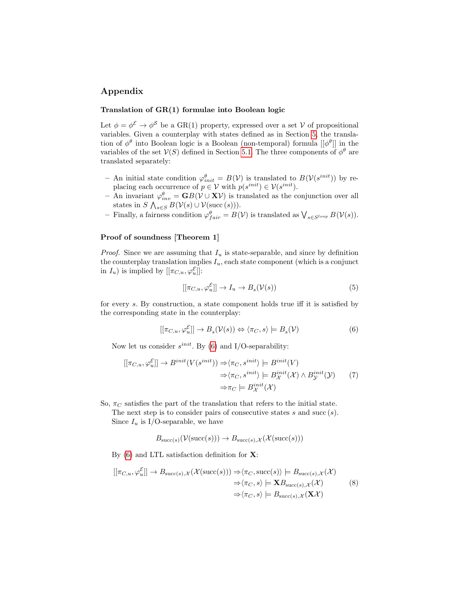# Appendix

# Translation of GR(1) formulae into Boolean logic

Let  $\phi = \phi^{\mathcal{E}} \to \phi^{\mathcal{S}}$  be a GR(1) property, expressed over a set V of propositional variables. Given a counterplay with states defined as in Section [5,](#page-4-1) the translation of  $\phi^{\theta}$  into Boolean logic is a Boolean (non-temporal) formula  $[[\phi^{\theta}]]$  in the variables of the set  $V(S)$  defined in Section [5.1.](#page-6-0) The three components of  $\phi^{\theta}$  are translated separately:

- An initial state condition  $\varphi_{init}^{\theta} = B(\mathcal{V})$  is translated to  $B(\mathcal{V}(s^{init}))$  by replacing each occurrence of  $p \in V$  with  $p(s^{init}) \in V(s^{init})$ .
- An invariant  $\varphi_{inv}^{\theta} = GB(V \cup \mathbf{X}V)$  is translated as the conjunction over all states in  $S \bigwedge_{s \in S} B(\mathcal{V}(s) \cup \mathcal{V}(\text{succ}(s)))$ .
- Finally, a fairness condition  $\varphi_{fair}^{\theta} = B(\mathcal{V})$  is translated as  $\bigvee_{s \in S^{loop}} B(\mathcal{V}(s))$ .

### Proof of soundness [Theorem 1]

*Proof.* Since we are assuming that  $I_u$  is state-separable, and since by definition the counterplay translation implies  $I_u$ , each state component (which is a conjunct in  $I_u$ ) is implied by  $[[\pi_{C,u}, \varphi_u^{\mathcal{E}}]]$ :

$$
[[\pi_{C,u}, \varphi_u^{\mathcal{E}}]] \to I_u \to B_s(\mathcal{V}(s))
$$
\n<sup>(5)</sup>

for every s. By construction, a state component holds true iff it is satisfied by the corresponding state in the counterplay:

<span id="page-17-0"></span>
$$
[[\pi_{C,u}, \varphi_u^{\mathcal{E}}]] \to B_s(\mathcal{V}(s)) \Leftrightarrow \langle \pi_C, s \rangle \models B_s(\mathcal{V})
$$
(6)

Now let us consider  $s^{init}$ . By [\(6\)](#page-17-0) and I/O-separability:

$$
[[\pi_{C,u}, \varphi_u^{\mathcal{E}}]] \to B^{init}(V(s^{init})) \Rightarrow \langle \pi_C, s^{init} \rangle \models B^{init}(V) \Rightarrow \langle \pi_C, s^{init} \rangle \models B^{init}_{\mathcal{X}}(\mathcal{X}) \land B^{init}_{\mathcal{Y}}(\mathcal{Y}) \tag{7} \Rightarrow \pi_C \models B^{init}_{\mathcal{X}}(\mathcal{X})
$$

So,  $\pi_C$  satisfies the part of the translation that refers to the initial state. The next step is to consider pairs of consecutive states s and succ  $(s)$ . Since  $I_u$  is I/O-separable, we have

$$
B_{\text{succ}(s)}(\mathcal{V}(\text{succ}(s))) \to B_{\text{succ}(s),\mathcal{X}}(\mathcal{X}(\text{succ}(s)))
$$

By  $(6)$  and LTL satisfaction definition for **X**:

<span id="page-17-1"></span>
$$
[[\pi_{C,u}, \varphi_u^{\mathcal{E}}]] \to B_{\text{succ}(s), \mathcal{X}}(\mathcal{X}(\text{succ}(s))) \Rightarrow \langle \pi_C, \text{succ}(s) \rangle \models B_{\text{succ}(s), \mathcal{X}}(\mathcal{X})
$$
  

$$
\Rightarrow \langle \pi_C, s \rangle \models \mathbf{X}B_{\text{succ}(s), \mathcal{X}}(\mathcal{X})
$$
  

$$
\Rightarrow \langle \pi_C, s \rangle \models B_{\text{succ}(s), \mathcal{X}}(\mathbf{X}\mathcal{X})
$$
 (8)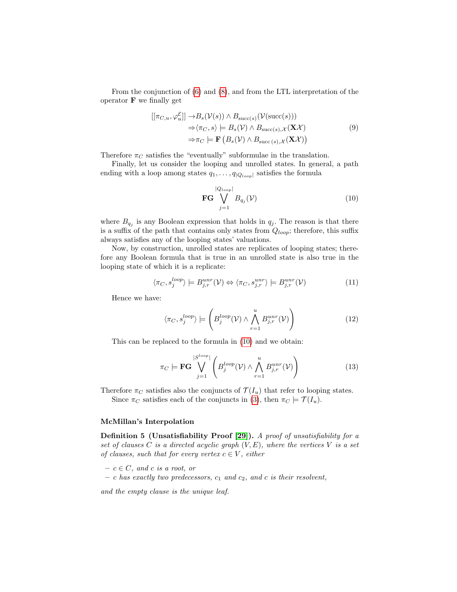From the conjunction of [\(6\)](#page-17-0) and [\(8\)](#page-17-1), and from the LTL interpretation of the operator  $\bf{F}$  we finally get

$$
[[\pi_{C,u}, \varphi_u^{\mathcal{E}}]] \to B_s(\mathcal{V}(s)) \land B_{succ(s)}(\mathcal{V}(\text{succ}(s)))
$$
  
\n
$$
\Rightarrow \langle \pi_C, s \rangle \models B_s(\mathcal{V}) \land B_{succ(s), \mathcal{X}}(\mathbf{X}\mathcal{X})
$$
  
\n
$$
\Rightarrow \pi_C \models \mathbf{F}(B_s(\mathcal{V}) \land B_{succ(s), \mathcal{X}}(\mathbf{X}\mathcal{X}))
$$
\n(9)

Therefore  $\pi_C$  satisfies the "eventually" subformulae in the translation.

Finally, let us consider the looping and unrolled states. In general, a path ending with a loop among states  $q_1, \ldots, q_{|Q_{loop}|}$  satisfies the formula

<span id="page-18-0"></span>
$$
\mathbf{FG} \bigvee_{j=1}^{|Q_{loop}|} B_{q_j}(\mathcal{V})
$$
 (10)

where  $B_{q_j}$  is any Boolean expression that holds in  $q_j$ . The reason is that there is a suffix of the path that contains only states from  $Q_{loop}$ ; therefore, this suffix always satisfies any of the looping states' valuations.

Now, by construction, unrolled states are replicates of looping states; therefore any Boolean formula that is true in an unrolled state is also true in the looping state of which it is a replicate:

$$
\langle \pi_C, s_j^{loop} \rangle \models B_{j,r}^{unr}(\mathcal{V}) \Leftrightarrow \langle \pi_C, s_{j,r}^{unr} \rangle \models B_{j,r}^{unr}(\mathcal{V})
$$
\n(11)

Hence we have:

$$
\langle \pi_C, s_j^{loop} \rangle \models \left( B_j^{loop}(\mathcal{V}) \land \bigwedge_{r=1}^u B_{j,r}^{unr}(\mathcal{V}) \right) \tag{12}
$$

This can be replaced to the formula in [\(10\)](#page-18-0) and we obtain:

$$
\pi_C \models \mathbf{FG} \bigvee_{j=1}^{|S^{loop}|} \left( B_j^{loop}(\mathcal{V}) \land \bigwedge_{r=1}^u B_{j,r}^{unr}(\mathcal{V}) \right)
$$
(13)

Therefore  $\pi_C$  satisfies also the conjuncts of  $\mathcal{T}(I_u)$  that refer to looping states. Since  $\pi_C$  satisfies each of the conjuncts in [\(3\)](#page-7-0), then  $\pi_C \models \mathcal{T}(I_u)$ .

### McMillan's Interpolation

Definition 5 (Unsatisfiability Proof [\[29\]](#page-16-12)). A proof of unsatisfiability for a set of clauses C is a directed acyclic graph  $(V, E)$ , where the vertices V is a set of clauses, such that for every vertex  $c \in V$ , either

- $c \in C$ , and c is a root, or
- c has exactly two predecessors,  $c_1$  and  $c_2$ , and c is their resolvent,

and the empty clause is the unique leaf.